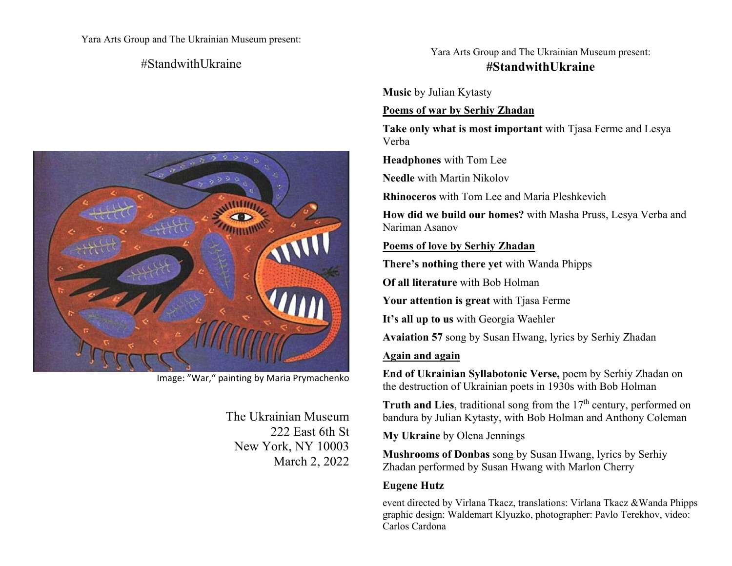Yara Arts Group and The Ukrainian Museum present:

## $#$ StandwithUkraine



Image: "War," painting by Maria Prymachenko

The Ukrainian Museum 222 East 6th St New York, NY 10003 March 2, 2022

# Yara Arts Group and The Ukrainian Museum present: **#StandwithUkraine**

**Music** by Julian Kytasty

### **Poems of war by Serhiy Zhadan**

**Take only what is most important** with Tjasa Ferme and Lesya Verba

**Headphones** with Tom Lee

**Needle** with Martin Nikolov

**Rhinoceros** with Tom Lee and Maria Pleshkevich

**How did we build our homes?** with Masha Pruss, Lesya Verba and Nariman Asanov

#### **Poems of love by Serhiy Zhadan**

**There's nothing there yet** with Wanda Phipps

**Of all literature** with Bob Holman

**Your attention is great** with Tjasa Ferme

**It's all up to us** with Georgia Waehler

**Avaiation 57** song by Susan Hwang, lyrics by Serhiy Zhadan

#### **Again and again**

**End of Ukrainian Syllabotonic Verse,** poem by Serhiy Zhadan on the destruction of Ukrainian poets in 1930s with Bob Holman

**Truth and Lies**, traditional song from the 17<sup>th</sup> century, performed on bandura by Julian Kytasty, with Bob Holman and Anthony Coleman

**My Ukraine** by Olena Jennings

**Mushrooms of Donbas** song by Susan Hwang, lyrics by Serhiy Zhadan performed by Susan Hwang with Marlon Cherry

#### **Eugene Hutz**

event directed by Virlana Tkacz, translations: Virlana Tkacz &Wanda Phipps graphic design: Waldemart Klyuzko, photographer: Pavlo Terekhov, video: Carlos Cardona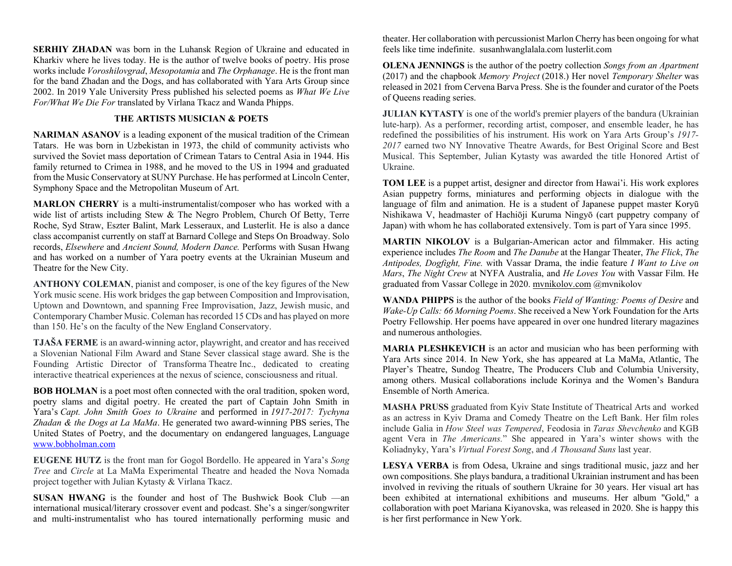**SERHIY ZHADAN** was born in the Luhansk Region of Ukraine and educated in Kharkiv where he lives today. He is the author of twelve books of poetry. His prose works include *Voroshilovgrad*, *Mesopotamia* and *The Orphanage*. He is the front man for the band Zhadan and the Dogs, and has collaborated with Yara Arts Group since 2002. In 2019 Yale University Press published his selected poems as *What We Live For/What We Die For* translated by Virlana Tkacz and Wanda Phipps.

#### **THE ARTISTS MUSICIAN & POETS**

**NARIMAN ASANOV** is a leading exponent of the musical tradition of the Crimean Tatars. He was born in Uzbekistan in 1973, the child of community activists who survived the Soviet mass deportation of Crimean Tatars to Central Asia in 1944. His family returned to Crimea in 1988, and he moved to the US in 1994 and graduated from the Music Conservatory at SUNY Purchase. He has performed at Lincoln Center, Symphony Space and the Metropolitan Museum of Art.

**MARLON CHERRY** is a multi-instrumentalist/composer who has worked with a wide list of artists including Stew & The Negro Problem, Church Of Betty, Terre Roche, Syd Straw, Eszter Balint, Mark Lesseraux, and Lusterlit. He is also a dance class accompanist currently on staff at Barnard College and Steps On Broadway. Solo records, *Elsewhere* and *Ancient Sound, Modern Dance.* Performs with Susan Hwang and has worked on a number of Yara poetry events at the Ukrainian Museum and Theatre for the New City.

**ANTHONY COLEMAN**, pianist and composer, is one of the key figures of the New York music scene. His work bridges the gap between Composition and Improvisation, Uptown and Downtown, and spanning Free Improvisation, Jazz, Jewish music, and Contemporary Chamber Music. Coleman has recorded 15 CDs and has played on more than 150. He's on the faculty of the New England Conservatory.

**TJAŠA FERME** is an award-winning actor, playwright, and creator and has received a Slovenian National Film Award and Stane Sever classical stage award. She is the Founding Artistic Director of Transforma Theatre Inc., dedicated to creating interactive theatrical experiences at the nexus of science, consciousness and ritual.

**BOB HOLMAN** is a poet most often connected with the oral tradition, spoken word, poetry slams and digital poetry. He created the part of Captain John Smith in Yara's *Capt. John Smith Goes to Ukraine* and performed in *1917-2017: Tychyna Zhadan & the Dogs at La MaMa*. He generated two award-winning PBS series, The United States of Poetry, and the documentary on endangered languages, Language www.bobholman.com

**EUGENE HUTZ** is the front man for Gogol Bordello. He appeared in Yara's *Song Tree* and *Circle* at La MaMa Experimental Theatre and headed the Nova Nomada project together with Julian Kytasty & Virlana Tkacz.

**SUSAN HWANG** is the founder and host of The Bushwick Book Club —an international musical/literary crossover event and podcast. She's a singer/songwriter and multi-instrumentalist who has toured internationally performing music and theater. Her collaboration with percussionist Marlon Cherry has been ongoing for what feels like time indefinite. susanhwanglalala.com lusterlit.com

**OLENA JENNINGS** is the author of the poetry collection *Songs from an Apartment* (2017) and the chapbook *Memory Project* (2018.) Her novel *Temporary Shelter* was released in 2021 from Cervena Barva Press. She is the founder and curator of the Poets of Queens reading series.

**JULIAN KYTASTY** is one of the world's premier players of the bandura (Ukrainian lute-harp). As a performer, recording artist, composer, and ensemble leader, he has redefined the possibilities of his instrument. His work on Yara Arts Group's *1917- 2017* earned two NY Innovative Theatre Awards, for Best Original Score and Best Musical. This September, Julian Kytasty was awarded the title Honored Artist of Ukraine.

**TOM LEE** is a puppet artist, designer and director from Hawai'i. His work explores Asian puppetry forms, miniatures and performing objects in dialogue with the language of film and animation. He is a student of Japanese puppet master Koryū Nishikawa V, headmaster of Hachiōji Kuruma Ningyō (cart puppetry company of Japan) with whom he has collaborated extensively. Tom is part of Yara since 1995.

**MARTIN NIKOLOV** is a Bulgarian-American actor and filmmaker. His acting experience includes *The Room* and *The Danube* at the Hangar Theater, *The Flick*, *The Antipodes, Dogfight, Fine.* with Vassar Drama, the indie feature *I Want to Live on Mars*, *The Night Crew* at NYFA Australia, and *He Loves You* with Vassar Film. He graduated from Vassar College in 2020. mvnikolov.com @mvnikolov

**WANDA PHIPPS** is the author of the books *Field of Wanting: Poems of Desire* and *Wake-Up Calls: 66 Morning Poems*. She received a New York Foundation for the Arts Poetry Fellowship. Her poems have appeared in over one hundred literary magazines and numerous anthologies.

**MARIA PLESHKEVICH** is an actor and musician who has been performing with Yara Arts since 2014. In New York, she has appeared at La MaMa, Atlantic, The Player's Theatre, Sundog Theatre, The Producers Club and Columbia University, among others. Musical collaborations include Korinya and the Women's Bandura Ensemble of North America.

**MASHA PRUSS** graduated from Kyiv State Institute of Theatrical Arts and worked as an actress in Kyiv Drama and Comedy Theatre on the Left Bank. Her film roles include Galia in *How Steel was Tempered*, Feodosia in *Taras Shevchenko* and KGB agent Vera in *The Americans.*" She appeared in Yara's winter shows with the Koliadnyky, Yara's *Virtual Forest Song*, and *A Thousand Suns* last year.

**LESYA VERBA** is from Odesa, Ukraine and sings traditional music, jazz and her own compositions. She plays bandura, a traditional Ukrainian instrument and has been involved in reviving the rituals of southern Ukraine for 30 years. Her visual art has been exhibited at international exhibitions and museums. Her album "Gold," a collaboration with poet Mariana Kiyanovska, was released in 2020. She is happy this is her first performance in New York.